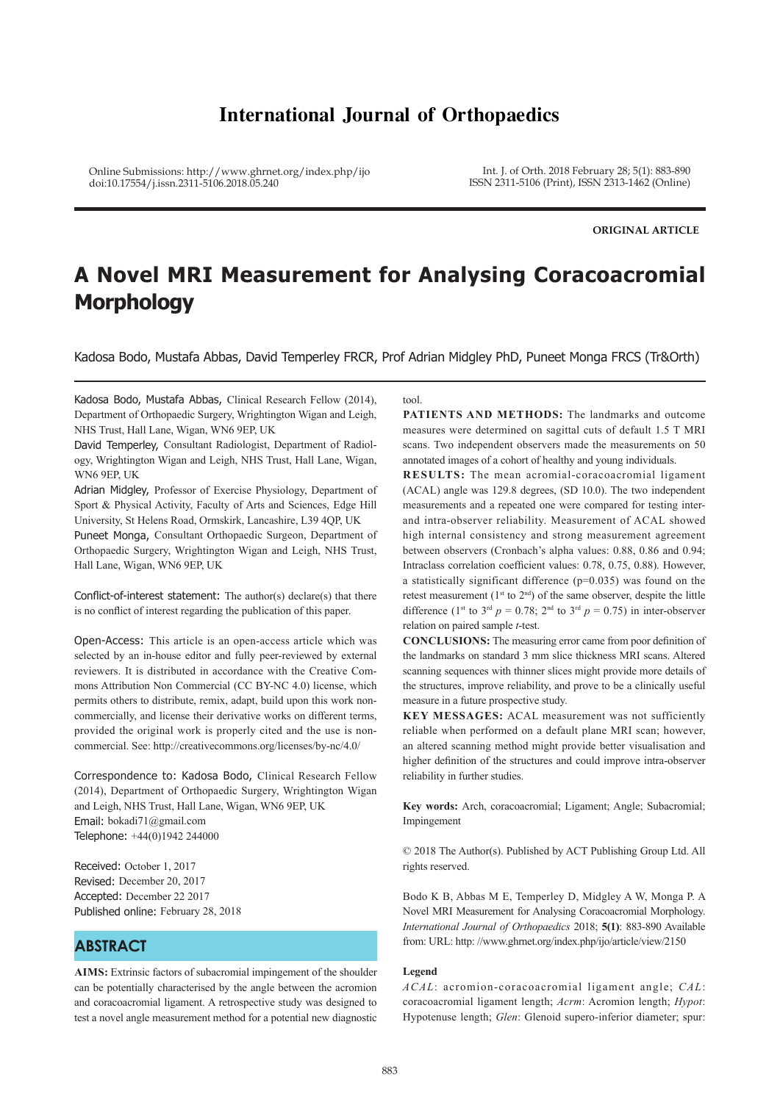# **International Journal of Orthopaedics**

Online Submissions: http://www.ghrnet.org/index.php/ijo doi:10.17554/j.issn.2311-5106.2018.05.240

Int. J. of Orth. 2018 February 28; 5(1): 883-890 ISSN 2311-5106 (Print), ISSN 2313-1462 (Online)

**ORIGINAL ARTICLE**

# **A Novel MRI Measurement for Analysing Coracoacromial Morphology**

Kadosa Bodo, Mustafa Abbas, David Temperley FRCR, Prof Adrian Midgley PhD, Puneet Monga FRCS (Tr&Orth)

Kadosa Bodo, Mustafa Abbas, Clinical Research Fellow (2014), Department of Orthopaedic Surgery, Wrightington Wigan and Leigh, NHS Trust, Hall Lane, Wigan, WN6 9EP, UK

David Temperley, Consultant Radiologist, Department of Radiology, Wrightington Wigan and Leigh, NHS Trust, Hall Lane, Wigan, WN6 9EP, UK

Adrian Midgley, Professor of Exercise Physiology, Department of Sport & Physical Activity, Faculty of Arts and Sciences, Edge Hill University, St Helens Road, Ormskirk, Lancashire, L39 4QP, UK

Puneet Monga, Consultant Orthopaedic Surgeon, Department of Orthopaedic Surgery, Wrightington Wigan and Leigh, NHS Trust, Hall Lane, Wigan, WN6 9EP, UK

Conflict-of-interest statement: The author(s) declare(s) that there is no conflict of interest regarding the publication of this paper.

Open-Access: This article is an open-access article which was selected by an in-house editor and fully peer-reviewed by external reviewers. It is distributed in accordance with the Creative Commons Attribution Non Commercial (CC BY-NC 4.0) license, which permits others to distribute, remix, adapt, build upon this work noncommercially, and license their derivative works on different terms, provided the original work is properly cited and the use is noncommercial. See: http://creativecommons.org/licenses/by-nc/4.0/

Correspondence to: Kadosa Bodo, Clinical Research Fellow (2014), Department of Orthopaedic Surgery, Wrightington Wigan and Leigh, NHS Trust, Hall Lane, Wigan, WN6 9EP, UK Email: bokadi71@gmail.com Telephone: +44(0)1942 244000

Received: October 1, 2017 Revised: December 20, 2017 Accepted: December 22 2017 Published online: February 28, 2018

# **ABSTRACT**

**AIMS:** Extrinsic factors of subacromial impingement of the shoulder can be potentially characterised by the angle between the acromion and coracoacromial ligament. A retrospective study was designed to test a novel angle measurement method for a potential new diagnostic

#### tool.

**PATIENTS AND METHODS:** The landmarks and outcome measures were determined on sagittal cuts of default 1.5 T MRI scans. Two independent observers made the measurements on 50 annotated images of a cohort of healthy and young individuals.

**RESULTS:** The mean acromial-coracoacromial ligament (ACAL) angle was 129.8 degrees, (SD 10.0). The two independent measurements and a repeated one were compared for testing interand intra-observer reliability. Measurement of ACAL showed high internal consistency and strong measurement agreement between observers (Cronbach's alpha values: 0.88, 0.86 and 0.94; Intraclass correlation coefficient values: 0.78, 0.75, 0.88). However, a statistically significant difference (p=0.035) was found on the retest measurement ( $1<sup>st</sup>$  to  $2<sup>nd</sup>$ ) of the same observer, despite the little difference (1<sup>st</sup> to 3<sup>rd</sup>  $p = 0.78$ ; 2<sup>nd</sup> to 3<sup>rd</sup>  $p = 0.75$ ) in inter-observer relation on paired sample *t*-test.

**CONCLUSIONS:** The measuring error came from poor definition of the landmarks on standard 3 mm slice thickness MRI scans. Altered scanning sequences with thinner slices might provide more details of the structures, improve reliability, and prove to be a clinically useful measure in a future prospective study.

**KEY MESSAGES:** ACAL measurement was not sufficiently reliable when performed on a default plane MRI scan; however, an altered scanning method might provide better visualisation and higher definition of the structures and could improve intra-observer reliability in further studies.

**Key words:** Arch, coracoacromial; Ligament; Angle; Subacromial; Impingement

© 2018 The Author(s). Published by ACT Publishing Group Ltd. All rights reserved.

Bodo K B, Abbas M E, Temperley D, Midgley A W, Monga P. A Novel MRI Measurement for Analysing Coracoacromial Morphology. *International Journal of Orthopaedics* 2018; **5(1)**: 883-890 Available from: URL: http: //www.ghrnet.org/index.php/ijo/article/view/2150

#### **Legend**

*ACAL*: acromion-coracoacromial ligament angle; *CAL*: coracoacromial ligament length; *Acrm*: Acromion length; *Hypot*: Hypotenuse length; *Glen*: Glenoid supero-inferior diameter; spur: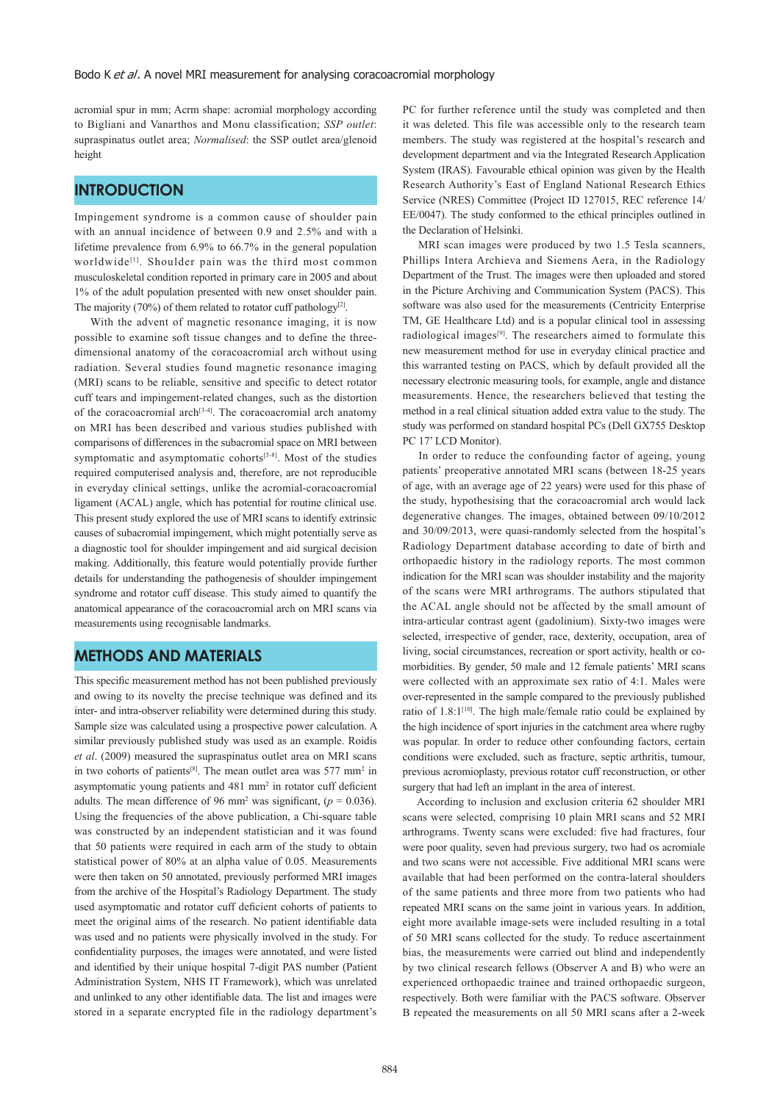acromial spur in mm; Acrm shape: acromial morphology according to Bigliani and Vanarthos and Monu classification; *SSP outlet*: supraspinatus outlet area; *Normalised*: the SSP outlet area/glenoid height

## **INTRODUCTION**

Impingement syndrome is a common cause of shoulder pain with an annual incidence of between 0.9 and 2.5% and with a lifetime prevalence from 6.9% to 66.7% in the general population worldwide<sup>[1]</sup>. Shoulder pain was the third most common musculoskeletal condition reported in primary care in 2005 and about 1% of the adult population presented with new onset shoulder pain. The majority (70%) of them related to rotator cuff pathology<sup>[2]</sup>.

 With the advent of magnetic resonance imaging, it is now possible to examine soft tissue changes and to define the threedimensional anatomy of the coracoacromial arch without using radiation. Several studies found magnetic resonance imaging (MRI) scans to be reliable, sensitive and specific to detect rotator cuff tears and impingement-related changes, such as the distortion of the coracoacromial arch<sup>[3-4]</sup>. The coracoacromial arch anatomy on MRI has been described and various studies published with comparisons of differences in the subacromial space on MRI between symptomatic and asymptomatic cohorts<sup>[5-8]</sup>. Most of the studies required computerised analysis and, therefore, are not reproducible in everyday clinical settings, unlike the acromial-coracoacromial ligament (ACAL) angle, which has potential for routine clinical use. This present study explored the use of MRI scans to identify extrinsic causes of subacromial impingement, which might potentially serve as a diagnostic tool for shoulder impingement and aid surgical decision making. Additionally, this feature would potentially provide further details for understanding the pathogenesis of shoulder impingement syndrome and rotator cuff disease. This study aimed to quantify the anatomical appearance of the coracoacromial arch on MRI scans via measurements using recognisable landmarks.

# **METHODS AND MATERIALS**

This specific measurement method has not been published previously and owing to its novelty the precise technique was defined and its inter- and intra-observer reliability were determined during this study. Sample size was calculated using a prospective power calculation. A similar previously published study was used as an example. Roidis *et al*. (2009) measured the supraspinatus outlet area on MRI scans in two cohorts of patients<sup>[8]</sup>. The mean outlet area was  $577 \text{ mm}^2$  in asymptomatic young patients and 481 mm<sup>2</sup> in rotator cuff deficient adults. The mean difference of 96 mm<sup>2</sup> was significant,  $(p = 0.036)$ . Using the frequencies of the above publication, a Chi-square table was constructed by an independent statistician and it was found that 50 patients were required in each arm of the study to obtain statistical power of 80% at an alpha value of 0.05. Measurements were then taken on 50 annotated, previously performed MRI images from the archive of the Hospital's Radiology Department. The study used asymptomatic and rotator cuff deficient cohorts of patients to meet the original aims of the research. No patient identifiable data was used and no patients were physically involved in the study. For confidentiality purposes, the images were annotated, and were listed and identified by their unique hospital 7-digit PAS number (Patient Administration System, NHS IT Framework), which was unrelated and unlinked to any other identifiable data. The list and images were stored in a separate encrypted file in the radiology department's

PC for further reference until the study was completed and then it was deleted. This file was accessible only to the research team members. The study was registered at the hospital's research and development department and via the Integrated Research Application System (IRAS). Favourable ethical opinion was given by the Health Research Authority's East of England National Research Ethics Service (NRES) Committee (Project ID 127015, REC reference 14/ EE/0047). The study conformed to the ethical principles outlined in the Declaration of Helsinki.

 MRI scan images were produced by two 1.5 Tesla scanners, Phillips Intera Archieva and Siemens Aera, in the Radiology Department of the Trust. The images were then uploaded and stored in the Picture Archiving and Communication System (PACS). This software was also used for the measurements (Centricity Enterprise TM, GE Healthcare Ltd) and is a popular clinical tool in assessing radiological images<sup>[9]</sup>. The researchers aimed to formulate this new measurement method for use in everyday clinical practice and this warranted testing on PACS, which by default provided all the necessary electronic measuring tools, for example, angle and distance measurements. Hence, the researchers believed that testing the method in a real clinical situation added extra value to the study. The study was performed on standard hospital PCs (Dell GX755 Desktop PC 17' LCD Monitor).

 In order to reduce the confounding factor of ageing, young patients' preoperative annotated MRI scans (between 18-25 years of age, with an average age of 22 years) were used for this phase of the study, hypothesising that the coracoacromial arch would lack degenerative changes. The images, obtained between 09/10/2012 and 30/09/2013, were quasi-randomly selected from the hospital's Radiology Department database according to date of birth and orthopaedic history in the radiology reports. The most common indication for the MRI scan was shoulder instability and the majority of the scans were MRI arthrograms. The authors stipulated that the ACAL angle should not be affected by the small amount of intra-articular contrast agent (gadolinium). Sixty-two images were selected, irrespective of gender, race, dexterity, occupation, area of living, social circumstances, recreation or sport activity, health or comorbidities. By gender, 50 male and 12 female patients' MRI scans were collected with an approximate sex ratio of 4:1. Males were over-represented in the sample compared to the previously published ratio of 1.8:1<sup>[10]</sup>. The high male/female ratio could be explained by the high incidence of sport injuries in the catchment area where rugby was popular. In order to reduce other confounding factors, certain conditions were excluded, such as fracture, septic arthritis, tumour, previous acromioplasty, previous rotator cuff reconstruction, or other surgery that had left an implant in the area of interest.

 According to inclusion and exclusion criteria 62 shoulder MRI scans were selected, comprising 10 plain MRI scans and 52 MRI arthrograms. Twenty scans were excluded: five had fractures, four were poor quality, seven had previous surgery, two had os acromiale and two scans were not accessible. Five additional MRI scans were available that had been performed on the contra-lateral shoulders of the same patients and three more from two patients who had repeated MRI scans on the same joint in various years. In addition, eight more available image-sets were included resulting in a total of 50 MRI scans collected for the study. To reduce ascertainment bias, the measurements were carried out blind and independently by two clinical research fellows (Observer A and B) who were an experienced orthopaedic trainee and trained orthopaedic surgeon, respectively. Both were familiar with the PACS software. Observer B repeated the measurements on all 50 MRI scans after a 2-week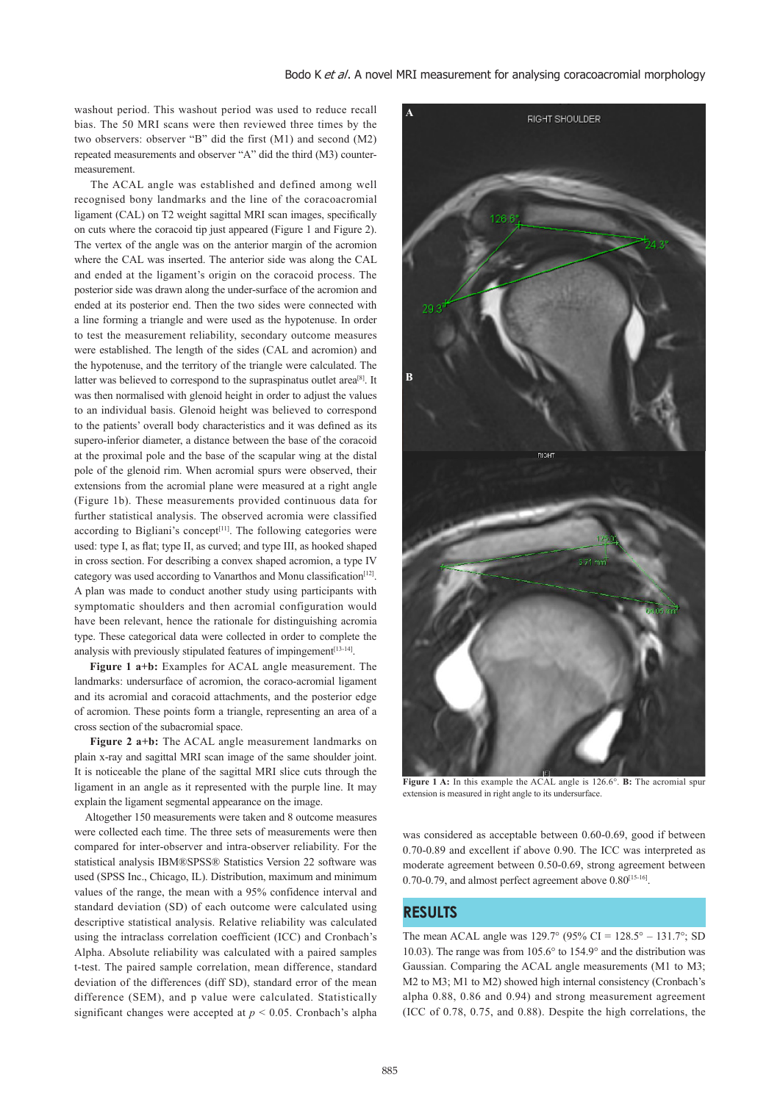washout period. This washout period was used to reduce recall bias. The 50 MRI scans were then reviewed three times by the two observers: observer "B" did the first (M1) and second (M2) repeated measurements and observer "A" did the third (M3) countermeasurement.

 The ACAL angle was established and defined among well recognised bony landmarks and the line of the coracoacromial ligament (CAL) on T2 weight sagittal MRI scan images, specifically on cuts where the coracoid tip just appeared (Figure 1 and Figure 2). The vertex of the angle was on the anterior margin of the acromion where the CAL was inserted. The anterior side was along the CAL and ended at the ligament's origin on the coracoid process. The posterior side was drawn along the under-surface of the acromion and ended at its posterior end. Then the two sides were connected with a line forming a triangle and were used as the hypotenuse. In order to test the measurement reliability, secondary outcome measures were established. The length of the sides (CAL and acromion) and the hypotenuse, and the territory of the triangle were calculated. The latter was believed to correspond to the supraspinatus outlet area<sup>[8]</sup>. It was then normalised with glenoid height in order to adjust the values to an individual basis. Glenoid height was believed to correspond to the patients' overall body characteristics and it was defined as its supero-inferior diameter, a distance between the base of the coracoid at the proximal pole and the base of the scapular wing at the distal pole of the glenoid rim. When acromial spurs were observed, their extensions from the acromial plane were measured at a right angle (Figure 1b). These measurements provided continuous data for further statistical analysis. The observed acromia were classified according to Bigliani's concept<sup>[11]</sup>. The following categories were used: type I, as flat; type II, as curved; and type III, as hooked shaped in cross section. For describing a convex shaped acromion, a type IV category was used according to Vanarthos and Monu classification<sup>[12]</sup>. A plan was made to conduct another study using participants with symptomatic shoulders and then acromial configuration would have been relevant, hence the rationale for distinguishing acromia type. These categorical data were collected in order to complete the analysis with previously stipulated features of impingement<sup>[13-14]</sup>.

 **Figure 1 a+b:** Examples for ACAL angle measurement. The landmarks: undersurface of acromion, the coraco-acromial ligament and its acromial and coracoid attachments, and the posterior edge of acromion. These points form a triangle, representing an area of a cross section of the subacromial space.

 **Figure 2 a+b:** The ACAL angle measurement landmarks on plain x-ray and sagittal MRI scan image of the same shoulder joint. It is noticeable the plane of the sagittal MRI slice cuts through the ligament in an angle as it represented with the purple line. It may explain the ligament segmental appearance on the image.

 Altogether 150 measurements were taken and 8 outcome measures were collected each time. The three sets of measurements were then compared for inter-observer and intra-observer reliability. For the statistical analysis IBM®SPSS® Statistics Version 22 software was used (SPSS Inc., Chicago, IL). Distribution, maximum and minimum values of the range, the mean with a 95% confidence interval and standard deviation (SD) of each outcome were calculated using descriptive statistical analysis. Relative reliability was calculated using the intraclass correlation coefficient (ICC) and Cronbach's Alpha. Absolute reliability was calculated with a paired samples t-test. The paired sample correlation, mean difference, standard deviation of the differences (diff SD), standard error of the mean difference (SEM), and p value were calculated. Statistically significant changes were accepted at *p* < 0.05. Cronbach's alpha



**Figure 1 A:** In this example the ACAL angle is 126.6°. **B:** The acromial spur extension is measured in right angle to its undersurface.

was considered as acceptable between 0.60-0.69, good if between 0.70-0.89 and excellent if above 0.90. The ICC was interpreted as moderate agreement between 0.50-0.69, strong agreement between 0.70-0.79, and almost perfect agreement above 0.80[15-16].

## **RESULTS**

The mean ACAL angle was  $129.7^{\circ}$  (95% CI =  $128.5^{\circ} - 131.7^{\circ}$ ; SD 10.03). The range was from 105.6° to 154.9° and the distribution was Gaussian. Comparing the ACAL angle measurements (M1 to M3; M2 to M3; M1 to M2) showed high internal consistency (Cronbach's alpha 0.88, 0.86 and 0.94) and strong measurement agreement (ICC of 0.78, 0.75, and 0.88). Despite the high correlations, the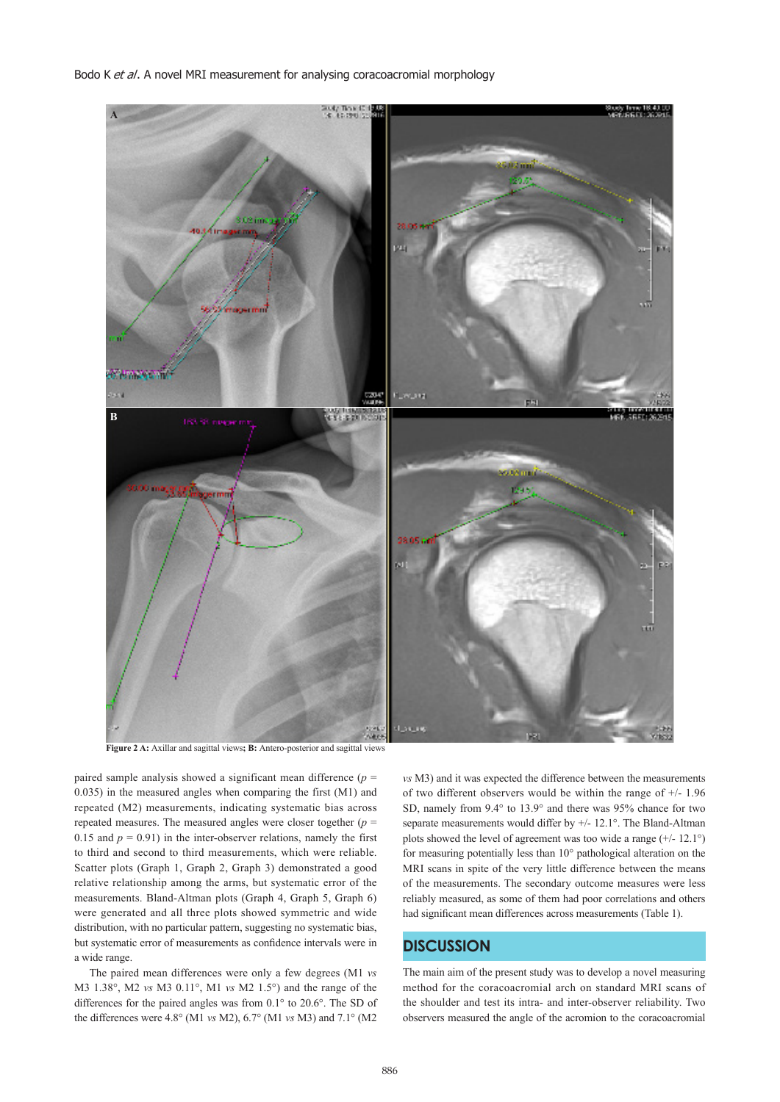Bodo K et al. A novel MRI measurement for analysing coracoacromial morphology



**Figure 2 A:** Axillar and sagittal views**; B:** Antero-posterior and sagittal views

paired sample analysis showed a significant mean difference (*p* = 0.035) in the measured angles when comparing the first (M1) and repeated (M2) measurements, indicating systematic bias across repeated measures. The measured angles were closer together (*p* = 0.15 and  $p = 0.91$ ) in the inter-observer relations, namely the first to third and second to third measurements, which were reliable. Scatter plots (Graph 1, Graph 2, Graph 3) demonstrated a good relative relationship among the arms, but systematic error of the measurements. Bland-Altman plots (Graph 4, Graph 5, Graph 6) were generated and all three plots showed symmetric and wide distribution, with no particular pattern, suggesting no systematic bias, but systematic error of measurements as confidence intervals were in a wide range.

 The paired mean differences were only a few degrees (M1 *vs*  M3 1.38°, M2 *vs* M3 0.11°, M1 *vs* M2 1.5°) and the range of the differences for the paired angles was from 0.1° to 20.6°. The SD of the differences were 4.8° (M1 *vs* M2), 6.7° (M1 *vs* M3) and 7.1° (M2

*vs* M3) and it was expected the difference between the measurements of two different observers would be within the range of +/- 1.96 SD, namely from 9.4° to 13.9° and there was 95% chance for two separate measurements would differ by +/- 12.1°. The Bland-Altman plots showed the level of agreement was too wide a range  $(+/- 12.1^{\circ})$ for measuring potentially less than 10° pathological alteration on the MRI scans in spite of the very little difference between the means of the measurements. The secondary outcome measures were less reliably measured, as some of them had poor correlations and others had significant mean differences across measurements (Table 1).

# **DISCUSSION**

The main aim of the present study was to develop a novel measuring method for the coracoacromial arch on standard MRI scans of the shoulder and test its intra- and inter-observer reliability. Two observers measured the angle of the acromion to the coracoacromial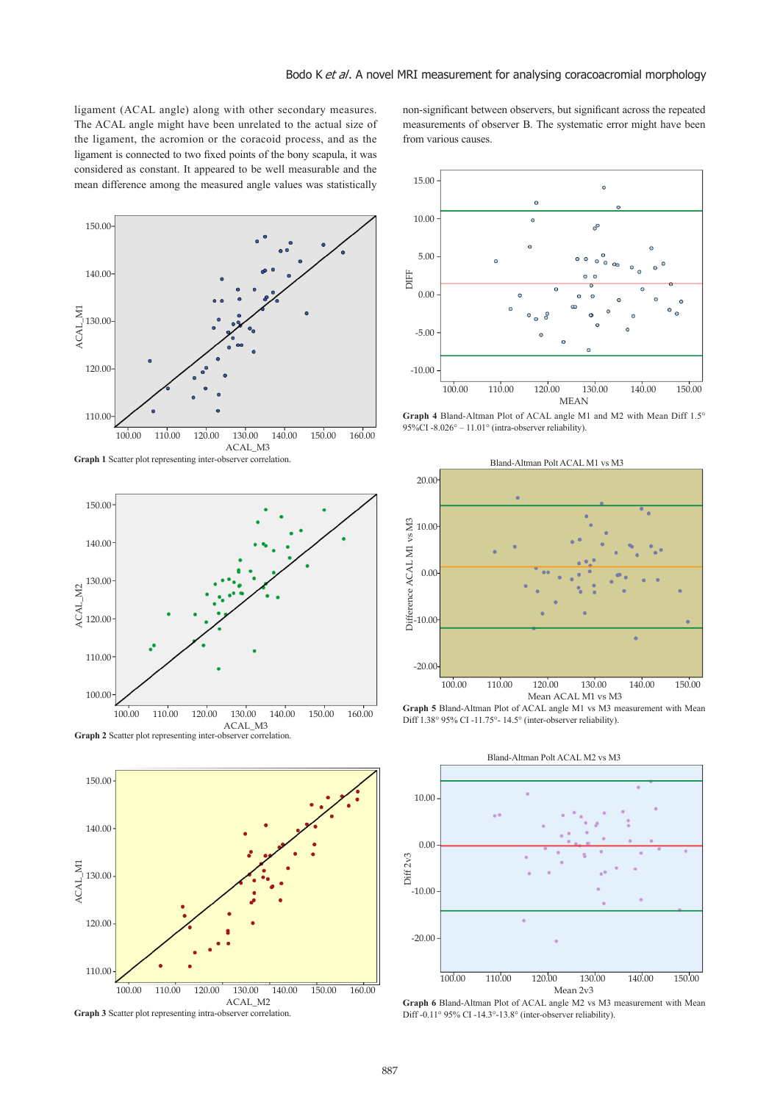ligament (ACAL angle) along with other secondary measures. The ACAL angle might have been unrelated to the actual size of the ligament, the acromion or the coracoid process, and as the ligament is connected to two fixed points of the bony scapula, it was considered as constant. It appeared to be well measurable and the mean difference among the measured angle values was statistically











non-significant between observers, but significant across the repeated measurements of observer B. The systematic error might have been from various causes.



**Graph 4** Bland-Altman Plot of ACAL angle M1 and M2 with Mean Diff 1.5° 95%CI -8.026° – 11.01° (intra-observer reliability).



**Graph 5** Bland-Altman Plot of ACAL angle M1 vs M3 measurement with Mean Diff  $1.38^\circ$  95% CI-11.75°- 14.5° (inter-observer reliability).



**Graph 6** Bland-Altman Plot of ACAL angle M2 vs M3 measurement with Mean Diff -0.11° 95% CI -14.3°-13.8° (inter-observer reliability).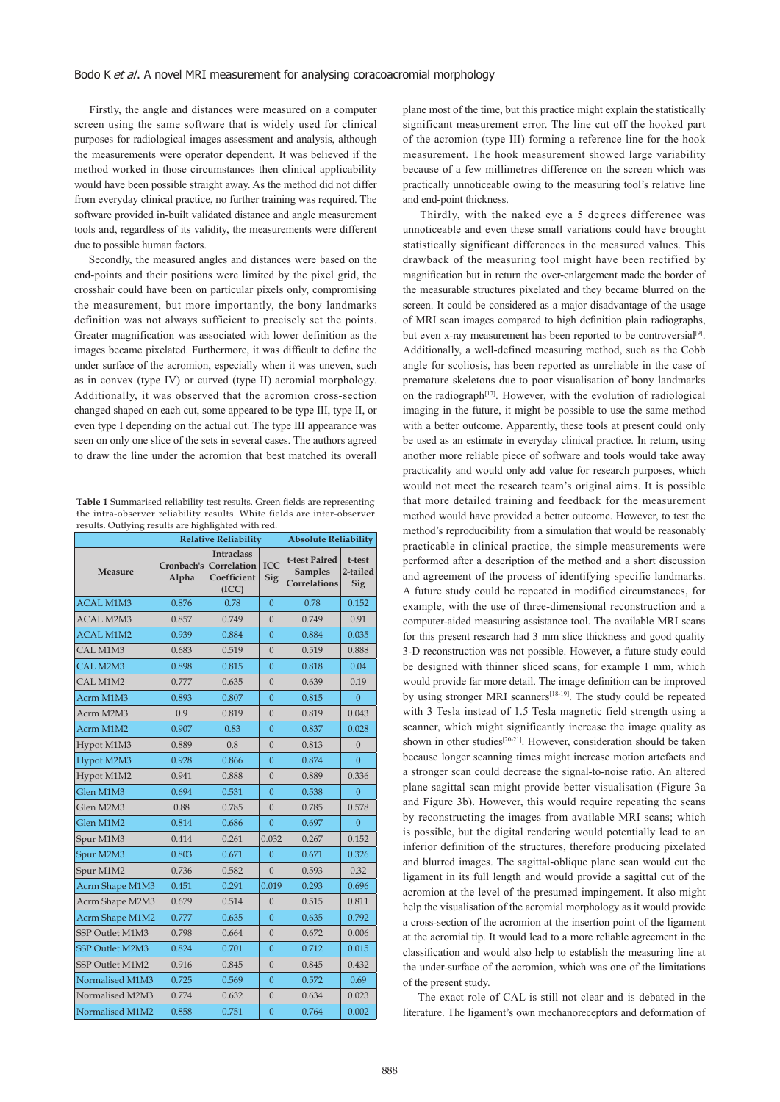Firstly, the angle and distances were measured on a computer screen using the same software that is widely used for clinical purposes for radiological images assessment and analysis, although the measurements were operator dependent. It was believed if the method worked in those circumstances then clinical applicability would have been possible straight away. As the method did not differ from everyday clinical practice, no further training was required. The software provided in-built validated distance and angle measurement tools and, regardless of its validity, the measurements were different due to possible human factors.

 Secondly, the measured angles and distances were based on the end-points and their positions were limited by the pixel grid, the crosshair could have been on particular pixels only, compromising the measurement, but more importantly, the bony landmarks definition was not always sufficient to precisely set the points. Greater magnification was associated with lower definition as the images became pixelated. Furthermore, it was difficult to define the under surface of the acromion, especially when it was uneven, such as in convex (type IV) or curved (type II) acromial morphology. Additionally, it was observed that the acromion cross-section changed shaped on each cut, some appeared to be type III, type II, or even type I depending on the actual cut. The type III appearance was seen on only one slice of the sets in several cases. The authors agreed to draw the line under the acromion that best matched its overall

**Table 1** Summarised reliability test results. Green fields are representing the intra-observer reliability results. White fields are inter-observer results. Outlying results are highlighted with red.

| --- <i>,</i> --o       | ----------------<br><b>Relative Reliability</b> |                                                          |                   | <b>Absolute Reliability</b>                     |                           |
|------------------------|-------------------------------------------------|----------------------------------------------------------|-------------------|-------------------------------------------------|---------------------------|
| <b>Measure</b>         | Cronbach's<br>Alpha                             | <b>Intraclass</b><br>Correlation<br>Coefficient<br>(ICC) | <b>ICC</b><br>Sig | t-test Paired<br><b>Samples</b><br>Correlations | t-test<br>2-tailed<br>Sig |
| <b>ACAL M1M3</b>       | 0.876                                           | 0.78                                                     | $\overline{0}$    | 0.78                                            | 0.152                     |
| <b>ACAL M2M3</b>       | 0.857                                           | 0.749                                                    | $\Omega$          | 0.749                                           | 0.91                      |
| <b>ACAL M1M2</b>       | 0.939                                           | 0.884                                                    | $\Omega$          | 0.884                                           | 0.035                     |
| CAL M1M3               | 0.683                                           | 0.519                                                    | $\overline{0}$    | 0.519                                           | 0.888                     |
| CAL M2M3               | 0.898                                           | 0.815                                                    | $\overline{0}$    | 0.818                                           | 0.04                      |
| CAL M1M2               | 0.777                                           | 0.635                                                    | $\overline{0}$    | 0.639                                           | 0.19                      |
| Acrm M1M3              | 0.893                                           | 0.807                                                    | $\overline{0}$    | 0.815                                           | $\Omega$                  |
| Acrm M2M3              | 0.9                                             | 0.819                                                    | $\overline{0}$    | 0.819                                           | 0.043                     |
| Acrm M1M2              | 0.907                                           | 0.83                                                     | $\overline{0}$    | 0.837                                           | 0.028                     |
| Hypot M1M3             | 0.889                                           | 0.8                                                      | $\overline{0}$    | 0.813                                           | $\overline{0}$            |
| Hypot M2M3             | 0.928                                           | 0.866                                                    | $\overline{0}$    | 0.874                                           | $\Omega$                  |
| Hypot M1M2             | 0.941                                           | 0.888                                                    | $\mathbf{0}$      | 0.889                                           | 0.336                     |
| Glen M1M3              | 0.694                                           | 0.531                                                    | $\overline{0}$    | 0.538                                           | $\Omega$                  |
| Glen M2M3              | 0.88                                            | 0.785                                                    | $\Omega$          | 0.785                                           | 0.578                     |
| Glen M1M2              | 0.814                                           | 0.686                                                    | $\overline{0}$    | 0.697                                           | $\overline{0}$            |
| Spur M1M3              | 0.414                                           | 0.261                                                    | 0.032             | 0.267                                           | 0.152                     |
| Spur M2M3              | 0.803                                           | 0.671                                                    | $\overline{0}$    | 0.671                                           | 0.326                     |
| Spur M1M2              | 0.736                                           | 0.582                                                    | $\mathbf{0}$      | 0.593                                           | 0.32                      |
| Acrm Shape M1M3        | 0.451                                           | 0.291                                                    | 0.019             | 0.293                                           | 0.696                     |
| Acrm Shape M2M3        | 0.679                                           | 0.514                                                    | $\Omega$          | 0.515                                           | 0.811                     |
| Acrm Shape M1M2        | 0.777                                           | 0.635                                                    | $\overline{0}$    | 0.635                                           | 0.792                     |
| SSP Outlet M1M3        | 0.798                                           | 0.664                                                    | $\mathbf{0}$      | 0.672                                           | 0.006                     |
| <b>SSP Outlet M2M3</b> | 0.824                                           | 0.701                                                    | $\overline{0}$    | 0.712                                           | 0.015                     |
| SSP Outlet M1M2        | 0.916                                           | 0.845                                                    | $\Omega$          | 0.845                                           | 0.432                     |
| Normalised M1M3        | 0.725                                           | 0.569                                                    | $\overline{0}$    | 0.572                                           | 0.69                      |
| Normalised M2M3        | 0.774                                           | 0.632                                                    | $\mathbf{0}$      | 0.634                                           | 0.023                     |
| Normalised M1M2        | 0.858                                           | 0.751                                                    | $\mathbf{0}$      | 0.764                                           | 0.002                     |

plane most of the time, but this practice might explain the statistically significant measurement error. The line cut off the hooked part of the acromion (type III) forming a reference line for the hook measurement. The hook measurement showed large variability because of a few millimetres difference on the screen which was practically unnoticeable owing to the measuring tool's relative line and end-point thickness.

 Thirdly, with the naked eye a 5 degrees difference was unnoticeable and even these small variations could have brought statistically significant differences in the measured values. This drawback of the measuring tool might have been rectified by magnification but in return the over-enlargement made the border of the measurable structures pixelated and they became blurred on the screen. It could be considered as a major disadvantage of the usage of MRI scan images compared to high definition plain radiographs, but even x-ray measurement has been reported to be controversial<sup>[9]</sup>. Additionally, a well-defined measuring method, such as the Cobb angle for scoliosis, has been reported as unreliable in the case of premature skeletons due to poor visualisation of bony landmarks on the radiograph<sup> $[17]$ </sup>. However, with the evolution of radiological imaging in the future, it might be possible to use the same method with a better outcome. Apparently, these tools at present could only be used as an estimate in everyday clinical practice. In return, using another more reliable piece of software and tools would take away practicality and would only add value for research purposes, which would not meet the research team's original aims. It is possible that more detailed training and feedback for the measurement method would have provided a better outcome. However, to test the method's reproducibility from a simulation that would be reasonably practicable in clinical practice, the simple measurements were performed after a description of the method and a short discussion and agreement of the process of identifying specific landmarks. A future study could be repeated in modified circumstances, for example, with the use of three-dimensional reconstruction and a computer-aided measuring assistance tool. The available MRI scans for this present research had 3 mm slice thickness and good quality 3-D reconstruction was not possible. However, a future study could be designed with thinner sliced scans, for example 1 mm, which would provide far more detail. The image definition can be improved by using stronger MRI scanners<sup>[18-19]</sup>. The study could be repeated with 3 Tesla instead of 1.5 Tesla magnetic field strength using a scanner, which might significantly increase the image quality as shown in other studies<sup>[20-21]</sup>. However, consideration should be taken because longer scanning times might increase motion artefacts and a stronger scan could decrease the signal-to-noise ratio. An altered plane sagittal scan might provide better visualisation (Figure 3a and Figure 3b). However, this would require repeating the scans by reconstructing the images from available MRI scans; which is possible, but the digital rendering would potentially lead to an inferior definition of the structures, therefore producing pixelated and blurred images. The sagittal-oblique plane scan would cut the ligament in its full length and would provide a sagittal cut of the acromion at the level of the presumed impingement. It also might help the visualisation of the acromial morphology as it would provide a cross-section of the acromion at the insertion point of the ligament at the acromial tip. It would lead to a more reliable agreement in the classification and would also help to establish the measuring line at the under-surface of the acromion, which was one of the limitations of the present study.

 The exact role of CAL is still not clear and is debated in the literature. The ligament's own mechanoreceptors and deformation of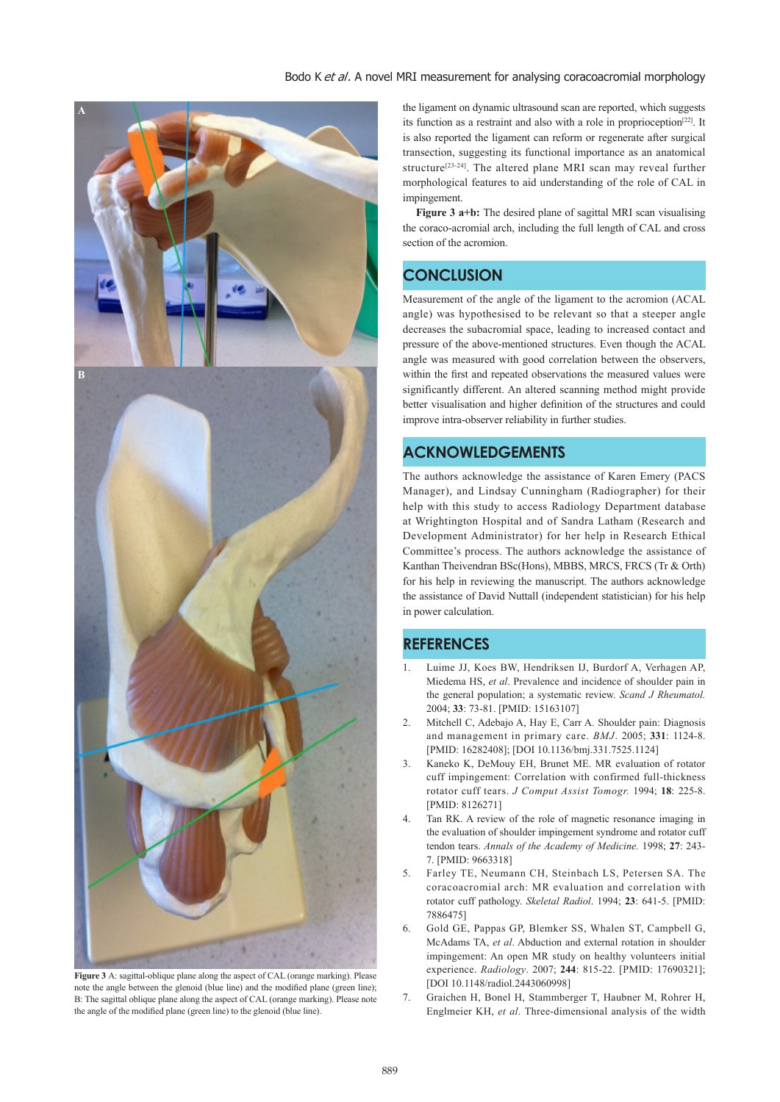## Bodo K et al. A novel MRI measurement for analysing coracoacromial morphology



**Figure 3** A: sagittal-oblique plane along the aspect of CAL (orange marking). Please note the angle between the glenoid (blue line) and the modified plane (green line); B: The sagittal oblique plane along the aspect of CAL (orange marking). Please note the angle of the modified plane (green line) to the glenoid (blue line).

the ligament on dynamic ultrasound scan are reported, which suggests its function as a restraint and also with a role in proprioception<sup>[22]</sup>. It is also reported the ligament can reform or regenerate after surgical transection, suggesting its functional importance as an anatomical structure<sup>[23-24]</sup>. The altered plane MRI scan may reveal further morphological features to aid understanding of the role of CAL in impingement.

 **Figure 3 a+b:** The desired plane of sagittal MRI scan visualising the coraco-acromial arch, including the full length of CAL and cross section of the acromion.

# **CONCLUSION**

Measurement of the angle of the ligament to the acromion (ACAL angle) was hypothesised to be relevant so that a steeper angle decreases the subacromial space, leading to increased contact and pressure of the above-mentioned structures. Even though the ACAL angle was measured with good correlation between the observers, within the first and repeated observations the measured values were significantly different. An altered scanning method might provide better visualisation and higher definition of the structures and could improve intra-observer reliability in further studies.

# **ACKNOWLEDGEMENTS**

The authors acknowledge the assistance of Karen Emery (PACS Manager), and Lindsay Cunningham (Radiographer) for their help with this study to access Radiology Department database at Wrightington Hospital and of Sandra Latham (Research and Development Administrator) for her help in Research Ethical Committee's process. The authors acknowledge the assistance of Kanthan Theivendran BSc(Hons), MBBS, MRCS, FRCS (Tr & Orth) for his help in reviewing the manuscript. The authors acknowledge the assistance of David Nuttall (independent statistician) for his help in power calculation.

# **REFERENCES**

- 1. Luime JJ, Koes BW, Hendriksen IJ, Burdorf A, Verhagen AP, Miedema HS, *et al*. Prevalence and incidence of shoulder pain in the general population; a systematic review. *Scand J Rheumatol.*  2004; **33**: 73-81. [PMID: 15163107]
- 2. Mitchell C, Adebajo A, Hay E, Carr A. Shoulder pain: Diagnosis and management in primary care. *BMJ*. 2005; **331**: 1124-8. [PMID: 16282408]; [DOI 10.1136/bmj.331.7525.1124]
- 3. Kaneko K, DeMouy EH, Brunet ME. MR evaluation of rotator cuff impingement: Correlation with confirmed full-thickness rotator cuff tears. *J Comput Assist Tomogr.* 1994; **18**: 225-8. [PMID: 8126271]
- Tan RK. A review of the role of magnetic resonance imaging in the evaluation of shoulder impingement syndrome and rotator cuff tendon tears. *Annals of the Academy of Medicine.* 1998; **27**: 243- 7. [PMID: 9663318]
- 5. Farley TE, Neumann CH, Steinbach LS, Petersen SA. The coracoacromial arch: MR evaluation and correlation with rotator cuff pathology. *Skeletal Radiol*. 1994; **23**: 641-5. [PMID: 7886475]
- 6. Gold GE, Pappas GP, Blemker SS, Whalen ST, Campbell G, McAdams TA, *et al*. Abduction and external rotation in shoulder impingement: An open MR study on healthy volunteers initial experience. *Radiology*. 2007; **244**: 815-22. [PMID: 17690321]; [DOI 10.1148/radiol.2443060998]
- 7. Graichen H, Bonel H, Stammberger T, Haubner M, Rohrer H, Englmeier KH, *et al*. Three-dimensional analysis of the width